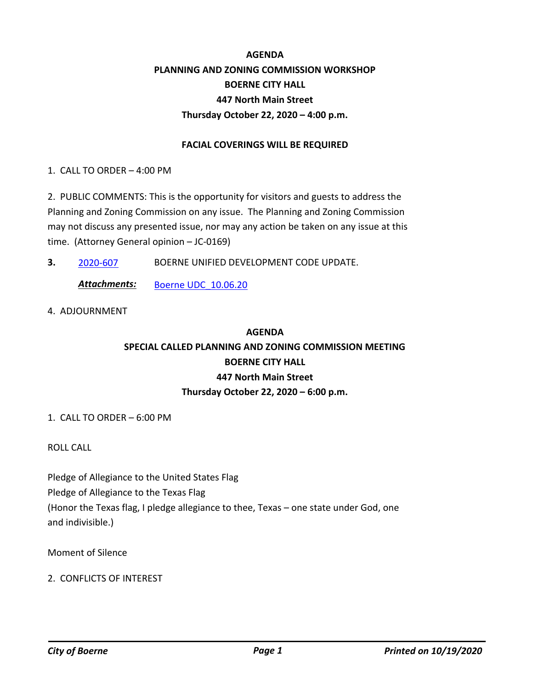### **AGENDA PLANNING AND ZONING COMMISSION WORKSHOP BOERNE CITY HALL 447 North Main Street Thursday October 22, 2020 – 4:00 p.m.**

#### **FACIAL COVERINGS WILL BE REQUIRED**

1. CALL TO ORDER – 4:00 PM

2. PUBLIC COMMENTS: This is the opportunity for visitors and guests to address the Planning and Zoning Commission on any issue. The Planning and Zoning Commission may not discuss any presented issue, nor may any action be taken on any issue at this time. (Attorney General opinion – JC-0169)

**3.** 2020-607 BOERNE UNIFIED DEVELOPMENT CODE UPDATE.

Attachments: Boerne UDC 10.06.20

4. ADJOURNMENT

# **AGENDA SPECIAL CALLED PLANNING AND ZONING COMMISSION MEETING BOERNE CITY HALL 447 North Main Street Thursday October 22, 2020 – 6:00 p.m.**

1. CALL TO ORDER – 6:00 PM

ROLL CALL

Pledge of Allegiance to the United States Flag Pledge of Allegiance to the Texas Flag (Honor the Texas flag, I pledge allegiance to thee, Texas – one state under God, one and indivisible.)

Moment of Silence

### 2. CONFLICTS OF INTEREST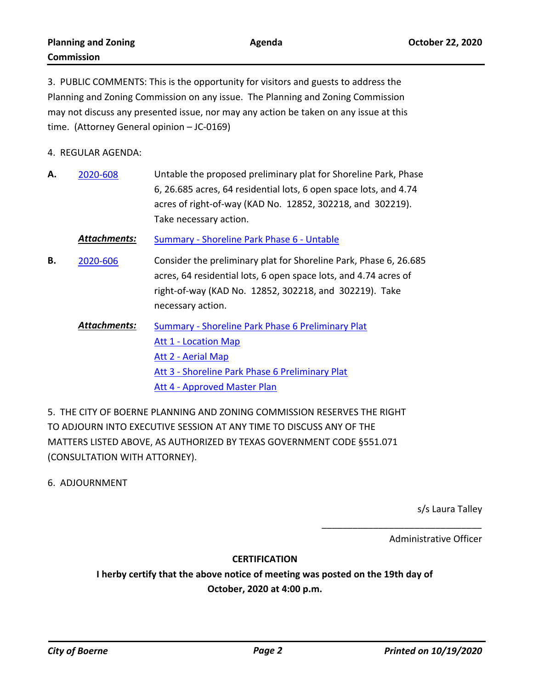3. PUBLIC COMMENTS: This is the opportunity for visitors and guests to address the Planning and Zoning Commission on any issue. The Planning and Zoning Commission may not discuss any presented issue, nor may any action be taken on any issue at this time. (Attorney General opinion – JC-0169)

4. REGULAR AGENDA:

Untable the proposed preliminary plat for Shoreline Park, Phase 6, 26.685 acres, 64 residential lots, 6 open space lots, and 4.74 acres of right-of-way (KAD No. 12852, 302218, and 302219). Take necessary action. **A.** 2020-608

*Attachments:* Summary - Shoreline Park Phase 6 - Untable

- Consider the preliminary plat for Shoreline Park, Phase 6, 26.685 acres, 64 residential lots, 6 open space lots, and 4.74 acres of right-of-way (KAD No. 12852, 302218, and 302219). Take necessary action. **B.** 2020-606
	- Summary Shoreline Park Phase 6 Preliminary Plat Att 1 - Location Map Att 2 - Aerial Map Att 3 - Shoreline Park Phase 6 Preliminary Plat Att 4 - Approved Master Plan *Attachments:*

5. THE CITY OF BOERNE PLANNING AND ZONING COMMISSION RESERVES THE RIGHT TO ADJOURN INTO EXECUTIVE SESSION AT ANY TIME TO DISCUSS ANY OF THE MATTERS LISTED ABOVE, AS AUTHORIZED BY TEXAS GOVERNMENT CODE §551.071 (CONSULTATION WITH ATTORNEY).

6. ADJOURNMENT

s/s Laura Talley

Administrative Officer

\_\_\_\_\_\_\_\_\_\_\_\_\_\_\_\_\_\_\_\_\_\_\_\_\_\_\_\_\_\_\_

#### **CERTIFICATION**

**I herby certify that the above notice of meeting was posted on the 19th day of October, 2020 at 4:00 p.m.**